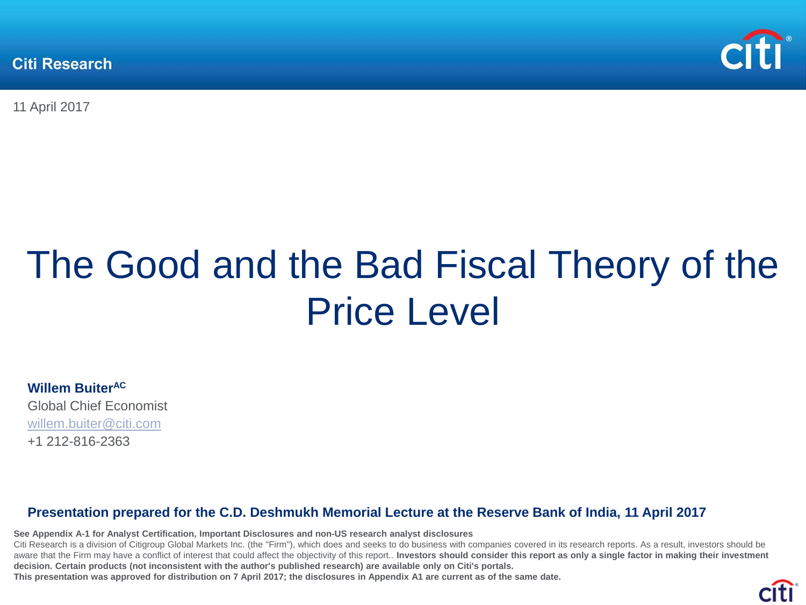**Citi Research** 



11 April 2017

# The Good and the Bad Fiscal Theory of the Price Level

**Willem BuiterAC** Global Chief Economist [willem.buiter@citi.com](mailto:Willem.buiter@citi.com)

+1 212-816-2363

#### **Presentation prepared for the C.D. Deshmukh Memorial Lecture at the Reserve Bank of India, 11 April 2017**

**See Appendix A-1 for Analyst Certification, Important Disclosures and non-US research analyst disclosures**

Citi Research is a division of Citigroup Global Markets Inc. (the "Firm"), which does and seeks to do business with companies covered in its research reports. As a result, investors should be aware that the Firm may have a conflict of interest that could affect the objectivity of this report.. Investors should consider this report as only a single factor in making their investment **decision. Certain products (not inconsistent with the author's published research) are available only on Citi's portals.** 

**This presentation was approved for distribution on 7 April 2017; the disclosures in Appendix A1 are current as of the same date.**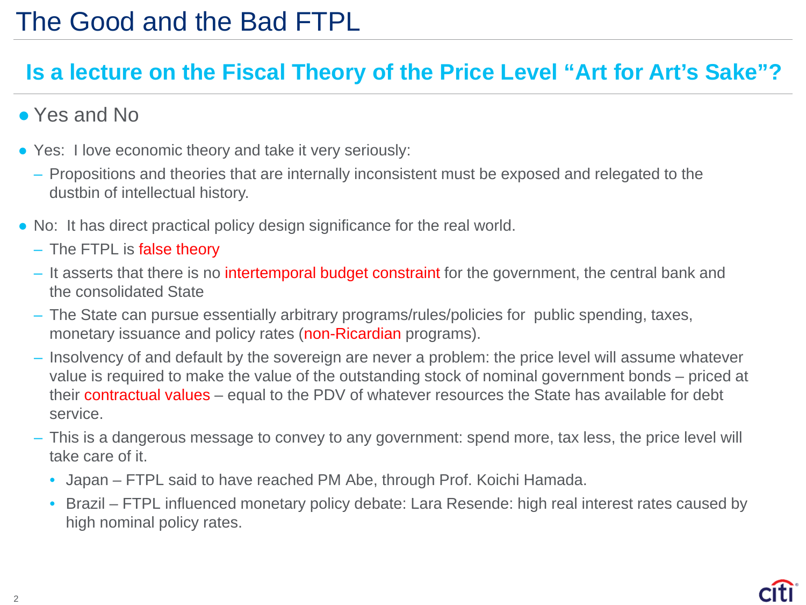#### **Is a lecture on the Fiscal Theory of the Price Level "Art for Art's Sake"?**

- Yes and No
- Yes: I love economic theory and take it very seriously:
	- Propositions and theories that are internally inconsistent must be exposed and relegated to the dustbin of intellectual history.
- No: It has direct practical policy design significance for the real world.
	- The FTPL is false theory
	- It asserts that there is no intertemporal budget constraint for the government, the central bank and the consolidated State
	- The State can pursue essentially arbitrary programs/rules/policies for public spending, taxes, monetary issuance and policy rates (non-Ricardian programs).
	- Insolvency of and default by the sovereign are never a problem: the price level will assume whatever value is required to make the value of the outstanding stock of nominal government bonds – priced at their contractual values – equal to the PDV of whatever resources the State has available for debt service.
	- This is a dangerous message to convey to any government: spend more, tax less, the price level will take care of it.
		- Japan FTPL said to have reached PM Abe, through Prof. Koichi Hamada.
		- Brazil FTPL influenced monetary policy debate: Lara Resende: high real interest rates caused by high nominal policy rates.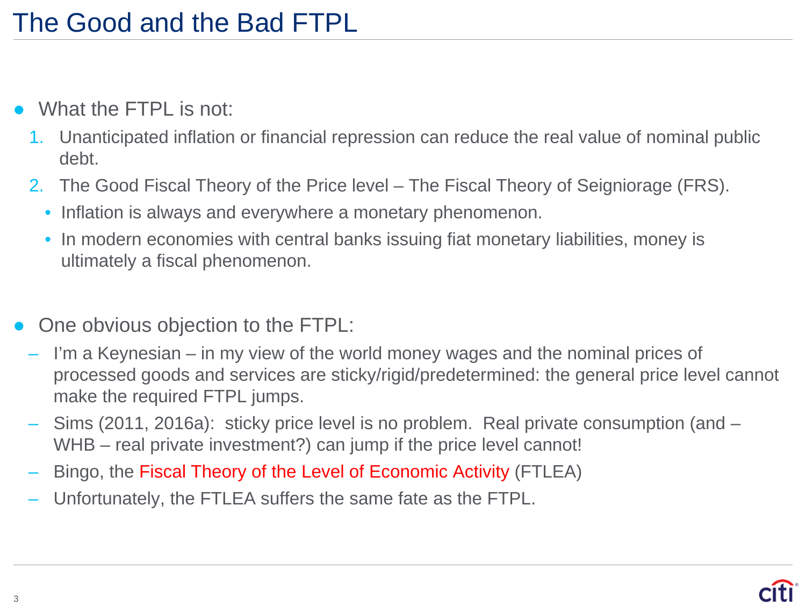- What the FTPL is not:
	- 1. Unanticipated inflation or financial repression can reduce the real value of nominal public debt.
	- 2. The Good Fiscal Theory of the Price level The Fiscal Theory of Seigniorage (FRS).
		- Inflation is always and everywhere a monetary phenomenon.
		- In modern economies with central banks issuing fiat monetary liabilities, money is ultimately a fiscal phenomenon.
- One obvious objection to the FTPL:
- I'm a Keynesian in my view of the world money wages and the nominal prices of processed goods and services are sticky/rigid/predetermined: the general price level cannot make the required FTPL jumps.
- Sims (2011, 2016a): sticky price level is no problem. Real private consumption (and WHB – real private investment?) can jump if the price level cannot!
- Bingo, the Fiscal Theory of the Level of Economic Activity (FTLEA)
- Unfortunately, the FTLEA suffers the same fate as the FTPL.

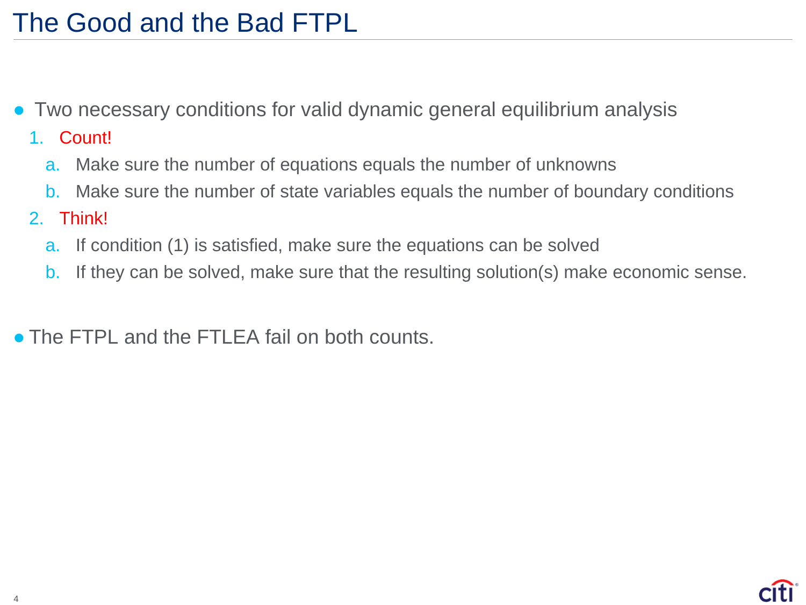- Two necessary conditions for valid dynamic general equilibrium analysis
	- 1. Count!
		- a. Make sure the number of equations equals the number of unknowns
		- b. Make sure the number of state variables equals the number of boundary conditions
	- 2. Think!
		- a. If condition (1) is satisfied, make sure the equations can be solved
		- b. If they can be solved, make sure that the resulting solution(s) make economic sense.

• The FTPL and the FTLEA fail on both counts.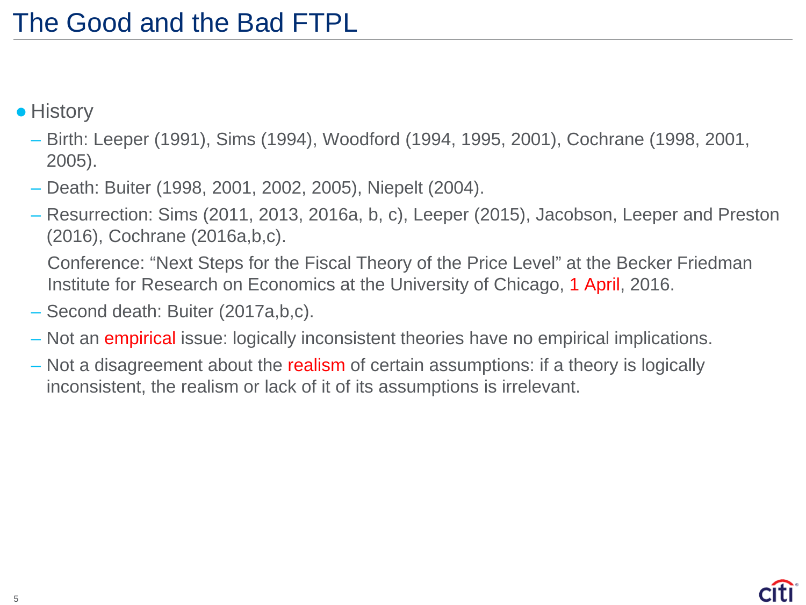- History
	- Birth: Leeper (1991), Sims (1994), Woodford (1994, 1995, 2001), Cochrane (1998, 2001, 2005).
	- Death: Buiter (1998, 2001, 2002, 2005), Niepelt (2004).
	- Resurrection: Sims (2011, 2013, 2016a, b, c), Leeper (2015), Jacobson, Leeper and Preston (2016), Cochrane (2016a,b,c).

Conference: "Next Steps for the Fiscal Theory of the Price Level" at the Becker Friedman Institute for Research on Economics at the University of Chicago, 1 April, 2016.

- Second death: Buiter (2017a,b,c).
- Not an empirical issue: logically inconsistent theories have no empirical implications.
- Not a disagreement about the realism of certain assumptions: if a theory is logically inconsistent, the realism or lack of it of its assumptions is irrelevant.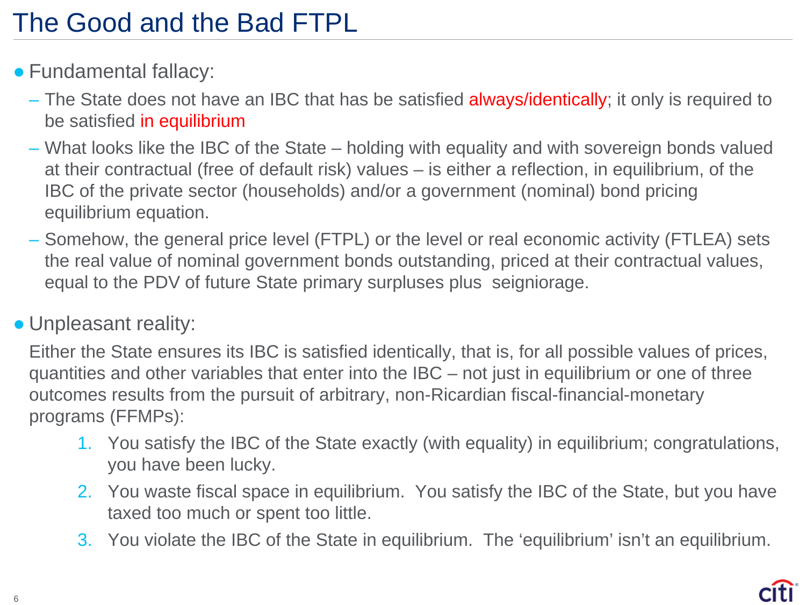- Fundamental fallacy:
	- The State does not have an IBC that has be satisfied always/identically; it only is required to be satisfied in equilibrium
	- What looks like the IBC of the State holding with equality and with sovereign bonds valued at their contractual (free of default risk) values – is either a reflection, in equilibrium, of the IBC of the private sector (households) and/or a government (nominal) bond pricing equilibrium equation.
	- Somehow, the general price level (FTPL) or the level or real economic activity (FTLEA) sets the real value of nominal government bonds outstanding, priced at their contractual values, equal to the PDV of future State primary surpluses plus seigniorage.

#### • Unpleasant reality:

Either the State ensures its IBC is satisfied identically, that is, for all possible values of prices, quantities and other variables that enter into the IBC – not just in equilibrium or one of three outcomes results from the pursuit of arbitrary, non-Ricardian fiscal-financial-monetary programs (FFMPs):

- 1. You satisfy the IBC of the State exactly (with equality) in equilibrium; congratulations, you have been lucky.
- 2. You waste fiscal space in equilibrium. You satisfy the IBC of the State, but you have taxed too much or spent too little.
- 3. You violate the IBC of the State in equilibrium. The 'equilibrium' isn't an equilibrium.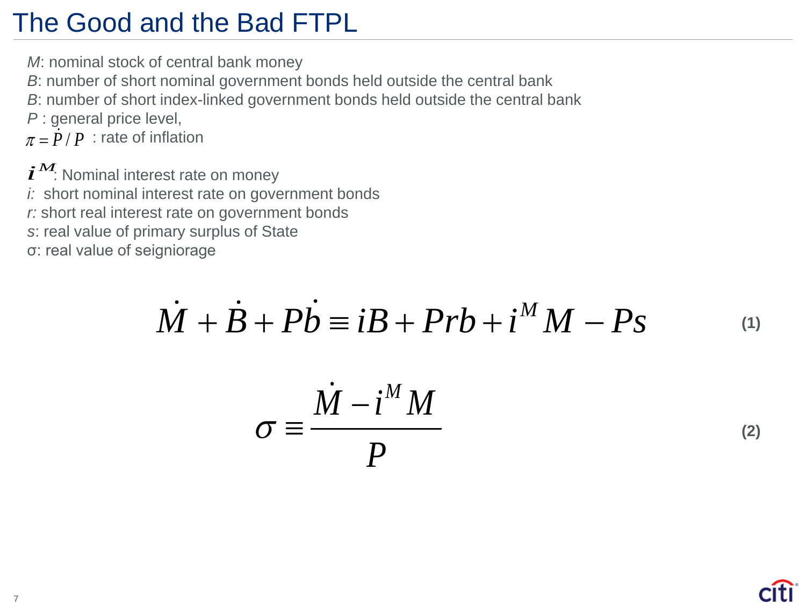*M*: nominal stock of central bank money

- *B*: number of short nominal government bonds held outside the central bank
- *B*: number of short index-linked government bonds held outside the central bank
- *P* : general price level,

 $\pi = \dot{P} / P$  : rate of inflation

 $\boldsymbol{i}^{\boldsymbol{M}}$ : Nominal interest rate on money *i:* short nominal interest rate on government bonds *r:* short real interest rate on government bonds *s*: real value of primary surplus of State σ: real value of seigniorage

$$
\dot{M} + \dot{B} + P\dot{b} = iB + Prb + i^{M}M - Ps \qquad (1)
$$

$$
\sigma \equiv \frac{\dot{M} - i^M M}{P} \tag{2}
$$

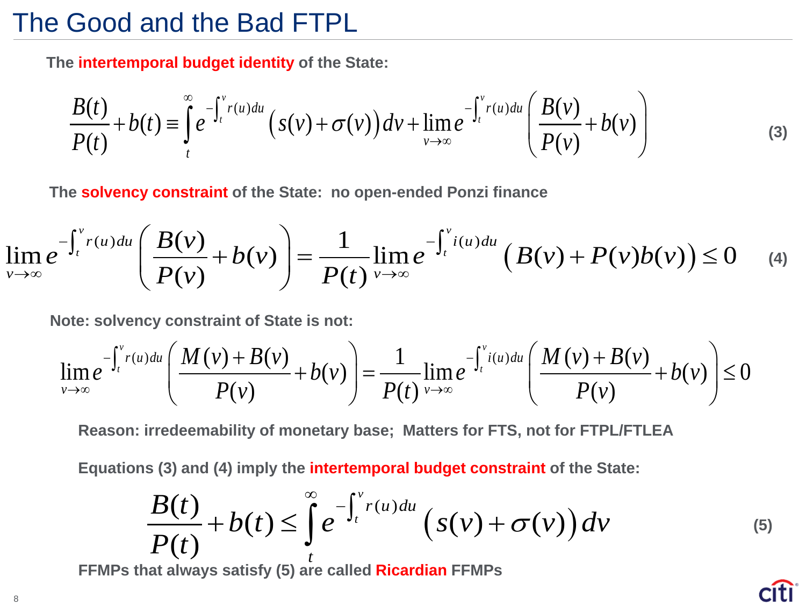**The intertemporal budget identity of the State:**

$$
\frac{B(t)}{P(t)} + b(t) \equiv \int_{t}^{\infty} e^{-\int_{t}^{v} r(u) du} \left( s(v) + \sigma(v) \right) dv + \lim_{v \to \infty} e^{-\int_{t}^{v} r(u) du} \left( \frac{B(v)}{P(v)} + b(v) \right)
$$
(3)

**The solvency constraint of the State: no open-ended Ponzi finance**

$$
\lim_{\nu \to \infty} e^{-\int_t^{\nu} r(u) du} \left( \frac{B(\nu)}{P(\nu)} + b(\nu) \right) = \frac{1}{P(t)} \lim_{\nu \to \infty} e^{-\int_t^{\nu} i(u) du} \left( B(\nu) + P(\nu) b(\nu) \right) \leq 0 \quad (4)
$$

**Note: solvency constraint of State is not:**

$$
\lim_{\nu\to\infty}e^{-\int_t^{\nu} r(u)du}\left(\frac{M(\nu)+B(\nu)}{P(\nu)}+b(\nu)\right)=\frac{1}{P(t)}\lim_{\nu\to\infty}e^{-\int_t^{\nu} i(u)du}\left(\frac{M(\nu)+B(\nu)}{P(\nu)}+b(\nu)\right)\leq 0
$$

**Reason: irredeemability of monetary base; Matters for FTS, not for FTPL/FTLEA**

**Equations (3) and (4) imply the intertemporal budget constraint of the State:**

$$
\frac{B(t)}{P(t)} + b(t) \leq \int_{t}^{\infty} e^{-\int_{t}^{v} r(u) du} \left(s(v) + \sigma(v)\right) dv \tag{5}
$$

**FFMPs that always satisfy (5) are called Ricardian FFMPs**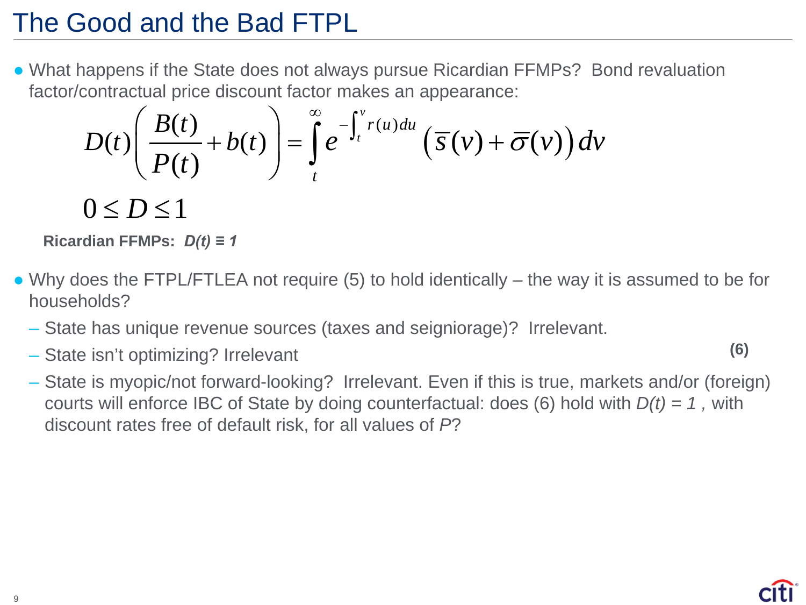• What happens if the State does not always pursue Ricardian FFMPs? Bond revaluation factor/contractual price discount factor makes an appearance:

$$
D(t)\left(\frac{B(t)}{P(t)}+b(t)\right)=\int_{t}^{\infty}e^{-\int_{t}^{v}r(u)du}\left(\overline{s}(v)+\overline{\sigma}(v)\right)dv
$$

 $0 \leq D \leq 1$ 

**Ricardian FFMPs:** *D(t) ≡ 1*

- Why does the FTPL/FTLEA not require (5) to hold identically the way it is assumed to be for households?
	- State has unique revenue sources (taxes and seigniorage)? Irrelevant.
	- State isn't optimizing? Irrelevant

**(6)**

– State is myopic/not forward-looking? Irrelevant. Even if this is true, markets and/or (foreign) courts will enforce IBC of State by doing counterfactual: does (6) hold with *D(t) = 1 ,* with discount rates free of default risk, for all values of *P*?

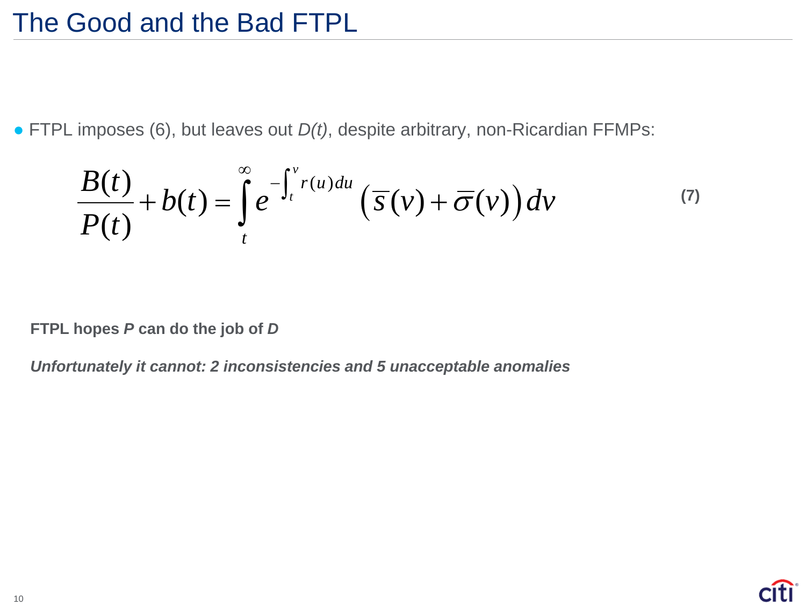● FTPL imposes (6), but leaves out *D(t)*, despite arbitrary, non-Ricardian FFMPs:

$$
\frac{B(t)}{P(t)} + b(t) = \int_{t}^{\infty} e^{-\int_{t}^{v} r(u) du} \left( \overline{s}(v) + \overline{\sigma}(v) \right) dv \tag{7}
$$

**FTPL hopes** *P* **can do the job of** *D*

*Unfortunately it cannot: 2 inconsistencies and 5 unacceptable anomalies*

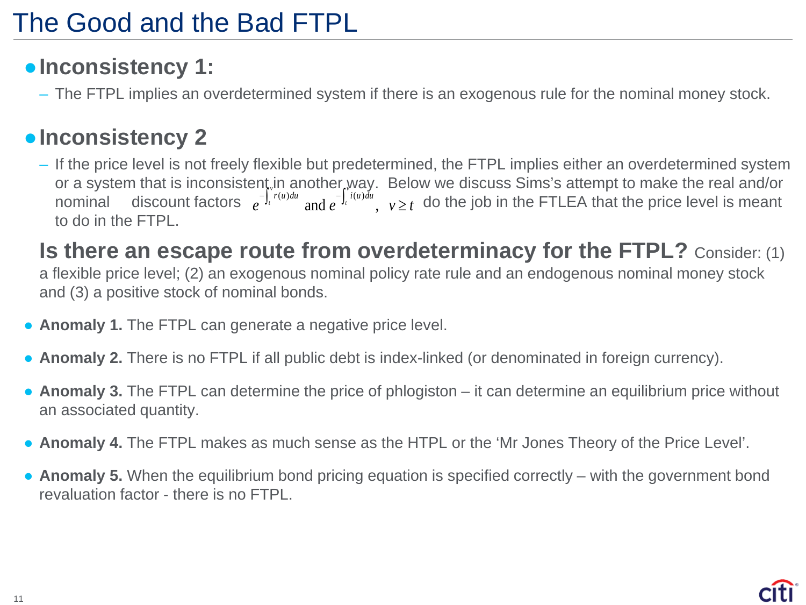### ●**Inconsistency 1:**

– The FTPL implies an overdetermined system if there is an exogenous rule for the nominal money stock.

#### ●**Inconsistency 2**

– If the price level is not freely flexible but predetermined, the FTPL implies either an overdetermined system or a system that is inconsistent in another way. Below we discuss Sims's attempt to make the real and/or nominal discount factors  $e^{-\int_t r(u)du}$  and  $e^{-\int_t i(u)du}$ ,  $v \ge t$  do the job in the FTLEA that the price level is meant to do in the FTPL.  $v^{\mu\nu}$  and  $v^{\mu}$  $e^{-\int_t^t r(u) du}$  and  $e^{-\int_t^t i(u) du}$ ,  $v \geq t$ 

**Is there an escape route from overdeterminacy for the FTPL?** Consider: (1) a flexible price level; (2) an exogenous nominal policy rate rule and an endogenous nominal money stock and (3) a positive stock of nominal bonds.

- **Anomaly 1.** The FTPL can generate a negative price level.
- **Anomaly 2.** There is no FTPL if all public debt is index-linked (or denominated in foreign currency).
- **Anomaly 3.** The FTPL can determine the price of phlogiston it can determine an equilibrium price without an associated quantity.
- **Anomaly 4.** The FTPL makes as much sense as the HTPL or the 'Mr Jones Theory of the Price Level'.
- **Anomaly 5.** When the equilibrium bond pricing equation is specified correctly with the government bond revaluation factor - there is no FTPL.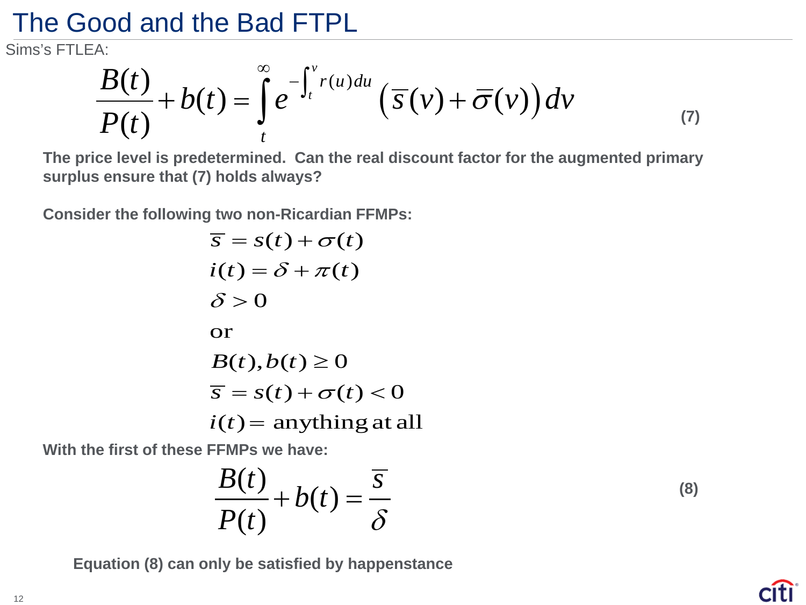Sims's FTLEA:

$$
\frac{B(t)}{P(t)} + b(t) = \int_{t}^{\infty} e^{-\int_{t}^{v} r(u) du} \left( \overline{s}(v) + \overline{\sigma}(v) \right) dv \tag{7}
$$

**The price level is predetermined. Can the real discount factor for the augmented primary surplus ensure that (7) holds always?**

**Consider the following two non-Ricardian FFMPs:**

$$
\overline{s} = s(t) + \sigma(t)
$$
  
\n
$$
i(t) = \delta + \pi(t)
$$
  
\n
$$
\delta > 0
$$
  
\nor  
\n
$$
B(t), b(t) \ge 0
$$
  
\n
$$
\overline{s} = s(t) + \sigma(t) < 0
$$
  
\n
$$
i(t) = anything at all
$$

**With the first of these FFMPs we have:**

$$
\frac{B(t)}{P(t)} + b(t) = \frac{\overline{s}}{\delta}
$$

**Equation (8) can only be satisfied by happenstance**

**(8)**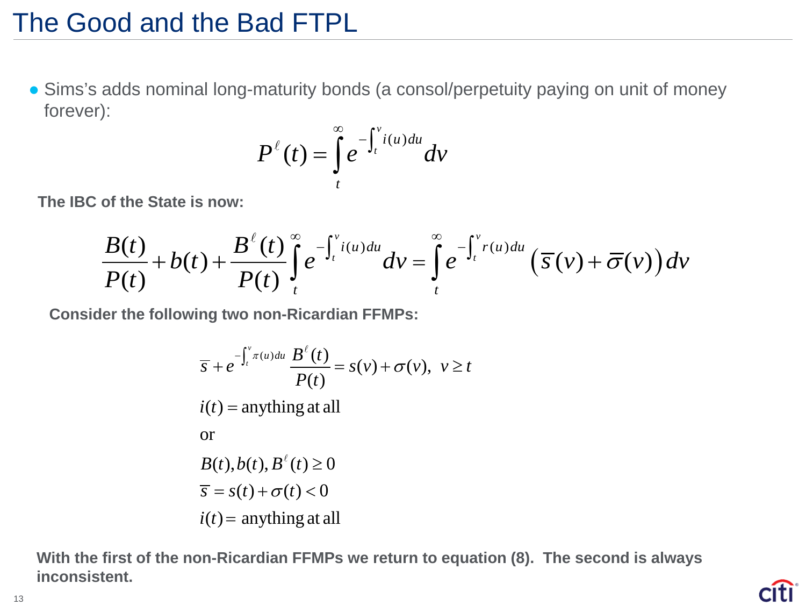• Sims's adds nominal long-maturity bonds (a consol/perpetuity paying on unit of money forever):

$$
P^{\ell}(t) = \int_{t}^{\infty} e^{-\int_{t}^{v} i(u) du} dv
$$

**The IBC of the State is now:**

$$
\frac{B(t)}{P(t)}+b(t)+\frac{B^{\ell}(t)}{P(t)}\int_{t}^{\infty}e^{-\int_{t}^{v}i(u)du}dv=\int_{t}^{\infty}e^{-\int_{t}^{v}r(u)du}\left(\overline{s}(v)+\overline{\sigma}(v)\right)dv
$$

**Consider the following two non-Ricardian FFMPs:**

$$
\overline{s} + e^{-\int_t^v \pi(u) du} \frac{B^\ell(t)}{P(t)} = s(v) + \sigma(v), \ v \ge t
$$
  
\n
$$
i(t) = \text{anything at all}
$$
  
\nor  
\n
$$
B(t), b(t), B^\ell(t) \ge 0
$$
  
\n
$$
\overline{s} = s(t) + \sigma(t) < 0
$$
  
\n
$$
i(t) = \text{anything at all}
$$

**With the first of the non-Ricardian FFMPs we return to equation (8). The second is always inconsistent.**

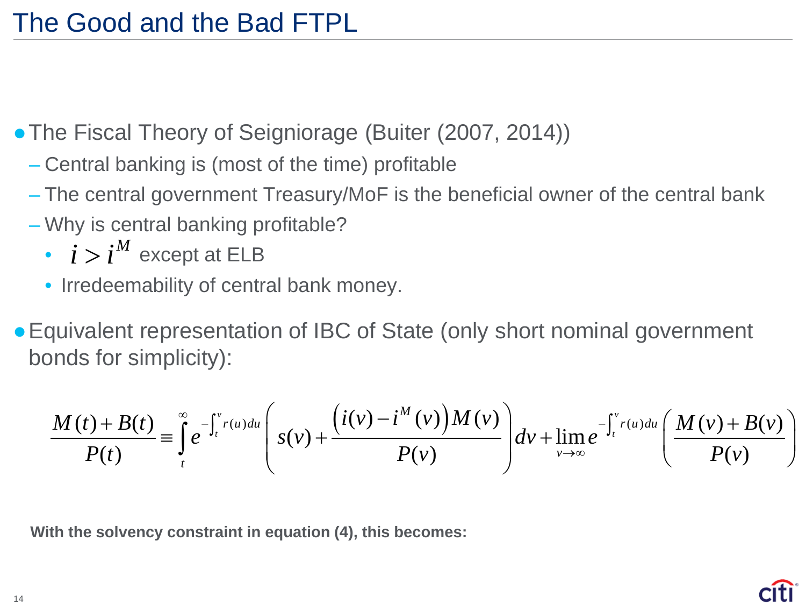• The Fiscal Theory of Seigniorage (Buiter (2007, 2014))

- Central banking is (most of the time) profitable
- The central government Treasury/MoF is the beneficial owner of the central bank
- Why is central banking profitable?
	- $\cdot$   $i > i^M$  except at ELB
	- Irredeemability of central bank money.

• Equivalent representation of IBC of State (only short nominal government bonds for simplicity):

$$
\frac{M(t)+B(t)}{P(t)} \equiv \int_{t}^{\infty} e^{-\int_{t}^{v} r(u) du} \left(s(v) + \frac{\left(i(v) - i^{M}(v)\right)M(v)}{P(v)}\right) dv + \lim_{v \to \infty} e^{-\int_{t}^{v} r(u) du} \left(\frac{M(v) + B(v)}{P(v)}\right)
$$

**With the solvency constraint in equation (4), this becomes:**

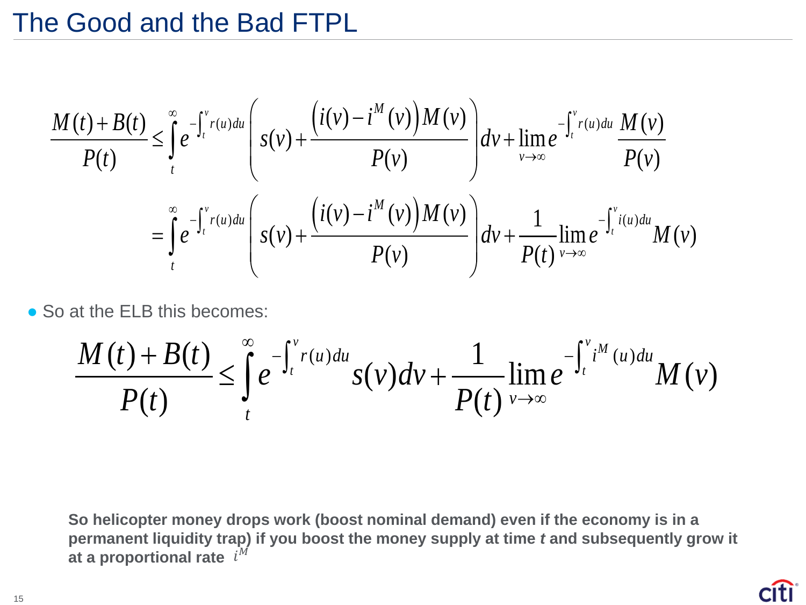$$
\frac{M(t) + B(t)}{P(t)} \leq \int_{t}^{\infty} e^{-\int_{t}^{v} r(u) du} \left( s(v) + \frac{\left(i(v) - i^{M}(v)\right)M(v)}{P(v)} \right) dv + \lim_{v \to \infty} e^{-\int_{t}^{v} r(u) du} \frac{M(v)}{P(v)}
$$
\n
$$
= \int_{t}^{\infty} e^{-\int_{t}^{v} r(u) du} \left( s(v) + \frac{\left(i(v) - i^{M}(v)\right)M(v)}{P(v)} \right) dv + \frac{1}{P(t)} \lim_{v \to \infty} e^{-\int_{t}^{v} i(u) du} M(v)
$$

• So at the ELB this becomes:

$$
\frac{M(t)+B(t)}{P(t)} \leq \int_{t}^{\infty} e^{-\int_{t}^{v} r(u) du} s(v) dv + \frac{1}{P(t)} \lim_{v\to\infty} e^{-\int_{t}^{v} i^{M}(u) du} M(v)
$$

**So helicopter money drops work (boost nominal demand) even if the economy is in a permanent liquidity trap) if you boost the money supply at time** *t* **and subsequently grow it**  at a proportional rate  $\; i^{M}$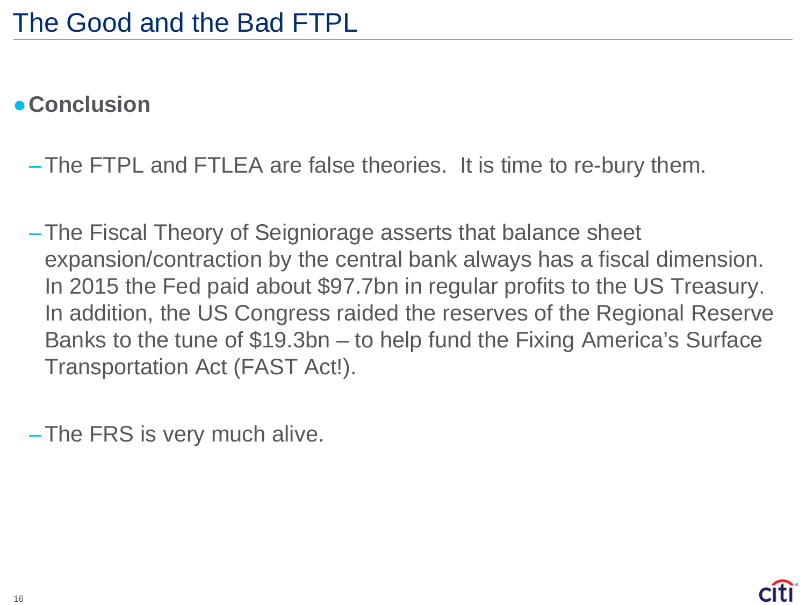#### ●**Conclusion**

–The FTPL and FTLEA are false theories. It is time to re-bury them.

–The Fiscal Theory of Seigniorage asserts that balance sheet expansion/contraction by the central bank always has a fiscal dimension. In 2015 the Fed paid about \$97.7bn in regular profits to the US Treasury. In addition, the US Congress raided the reserves of the Regional Reserve Banks to the tune of \$19.3bn – to help fund the Fixing America's Surface Transportation Act (FAST Act!).

–The FRS is very much alive.

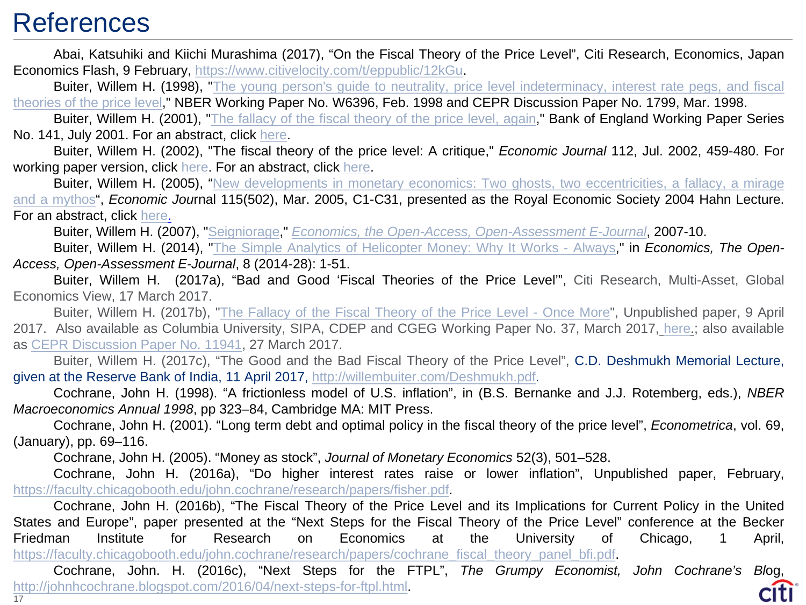#### **References**

Abai, Katsuhiki and Kiichi Murashima (2017), "On the Fiscal Theory of the Price Level", Citi Research, Economics, Japan Economics Flash, 9 February, [https://www.citivelocity.com/t/eppublic/12kGu.](https://www.citivelocity.com/t/eppublic/12kGu)

Buiter, Willem H. (1998), "The young person's guide to neutrality, price level [indeterminacy,](http://willembuiter.com/wood5.pdf) interest rate pegs, and fiscal theories of the price level," NBER Working Paper No. W6396, Feb. 1998 and CEPR Discussion Paper No. 1799, Mar. 1998.

Buiter, Willem H. (2001), "The [fallacy](http://willembuiter.com/F2.PDF) of the fiscal theory of the price level, again," Bank of England Working Paper Series No. 141, July 2001. For an abstract, click [here](http://willembuiter.com/F2ABS.PDF).

Buiter, Willem H. (2002), "The fiscal theory of the price level: A critique," *Economic Journal* 112, Jul. 2002, 459-480. For working paper version, click [here](http://willembuiter.com/ej.pdf). For an abstract, click [here.](http://willembuiter.com/ejabs.pdf)

Buiter, Willem H. (2005), "New [developments](http://willembuiter.com/hahn.pdf) in monetary economics: Two ghosts, two eccentricities, a fallacy, a mirage and a mythos", *Economic Jou*rnal 115(502), Mar. 2005, C1-C31, presented as the Royal Economic Society 2004 Hahn Lecture. For an abstract, click [here.](http://willembuiter.com/hahnab.pdf)

Buiter, Willem H. (2007), "[Seigniorage,](http://willembuiter.com/seignioragefinal.pdf)" *Economics, the Open-Access, [Open-Assessment](http://www.economics-ejournal.org/economics/journalarticles/2007-10) E-Journal*, 2007-10.

Buiter, Willem H. (2014), "The Simple Analytics of [Helicopter](http://willembuiter.com/helifinal3.pdf) Money: Why It Works - Always," in *Economics, The Open-Access, Open-Assessment E-Journal*, 8 (2014-28): 1-51.

Buiter, Willem H. (2017a), "Bad and Good 'Fiscal Theories of the Price Level'", Citi Research, Multi-Asset, Global Economics View, 17 March 2017.

Buiter, Willem H. (2017b), "The [Fallacy](http://willembuiter.com/fallacy2.pdf) of the Fiscal Theory of the Price Level - Once More", Unpublished paper, 9 April 2017. Also available as Columbia University, SIPA, CDEP and CGEG Working Paper No. 37, March 2017, [here.](http://cdep.sipa.columbia.edu/working-papers); also available as CEPR [Discussion](http://dpsubs.cepr.org/discussion-paper/882) Paper No. 11941, 27 March 2017.

Buiter, Willem H. (2017c), "The Good and the Bad Fiscal Theory of the Price Level", C.D. Deshmukh Memorial Lecture, given at the Reserve Bank of India, 11 April 2017, [http://willembuiter.com/Deshmukh.pdf.](http://willembuiter.com/Deshmukh.pdf)

Cochrane, John H. (1998). "A frictionless model of U.S. inflation", in (B.S. Bernanke and J.J. Rotemberg, eds.), *NBER Macroeconomics Annual 1998*, pp 323–84, Cambridge MA: MIT Press.

Cochrane, John H. (2001). "Long term debt and optimal policy in the fiscal theory of the price level", *Econometrica*, vol. 69, (January), pp. 69–116.

Cochrane, John H. (2005). "Money as stock", *Journal of Monetary Economics* 52(3), 501–528.

Cochrane, John H. (2016a), "Do higher interest rates raise or lower inflation", Unpublished paper, February, [https://faculty.chicagobooth.edu/john.cochrane/research/papers/fisher.pdf.](https://faculty.chicagobooth.edu/john.cochrane/research/papers/fisher.pdf)

Cochrane, John H. (2016b), "The Fiscal Theory of the Price Level and its Implications for Current Policy in the United States and Europe", paper presented at the "Next Steps for the Fiscal Theory of the Price Level" conference at the Becker Friedman Institute for Research on Economics at the University of Chicago, 1 April, [https://faculty.chicagobooth.edu/john.cochrane/research/papers/cochrane\\_fiscal\\_theory\\_panel\\_bfi.pdf.](https://faculty.chicagobooth.edu/john.cochrane/research/papers/cochrane_fiscal_theory_panel_bfi.pdf)

Cochrane, John. H. (2016c), "Next Steps for the FTPL", *The Grumpy Economist, John Cochrane's Bl*og, <http://johnhcochrane.blogspot.com/2016/04/next-steps-for-ftpl.html>. 17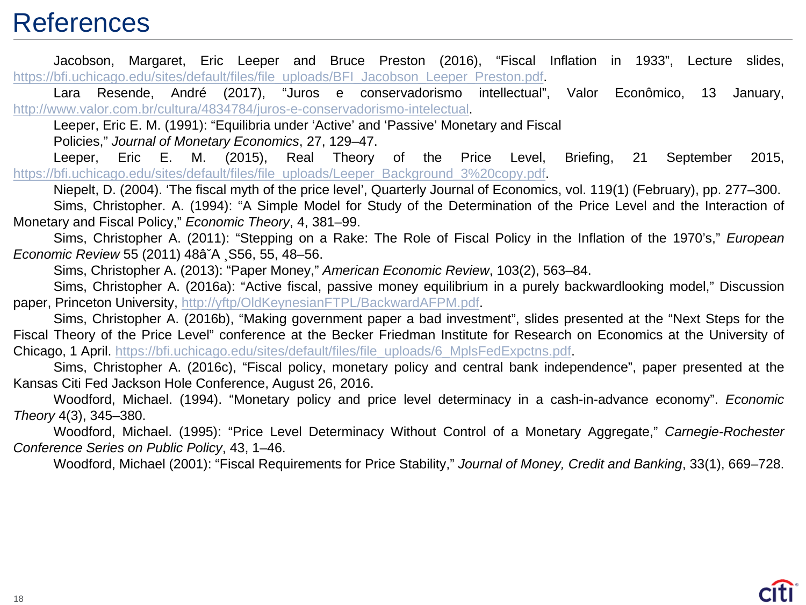#### **References**

Jacobson, Margaret, Eric Leeper and Bruce Preston (2016), "Fiscal Inflation in 1933", Lecture slides, [https://bfi.uchicago.edu/sites/default/files/file\\_uploads/BFI\\_Jacobson\\_Leeper\\_Preston.pdf.](https://bfi.uchicago.edu/sites/default/files/file_uploads/BFI_Jacobson_Leeper_Preston.pdf)

Lara Resende, André (2017), "Juros e conservadorismo intellectual", Valor Econômico, 13 January, [http://www.valor.com.br/cultura/4834784/juros-e-conservadorismo-intelectual.](http://www.valor.com.br/cultura/4834784/juros-e-conservadorismo-intelectual)

Leeper, Eric E. M. (1991): "Equilibria under 'Active' and 'Passive' Monetary and Fiscal

Policies," *Journal of Monetary Economics*, 27, 129–47.

Leeper, Eric E. M. (2015), Real Theory of the Price Level, Briefing, 21 September 2015, [https://bfi.uchicago.edu/sites/default/files/file\\_uploads/Leeper\\_Background\\_3%20copy.pdf.](https://bfi.uchicago.edu/sites/default/files/file_uploads/Leeper_Background_3%20copy.pdf)

Niepelt, D. (2004). 'The fiscal myth of the price level', Quarterly Journal of Economics, vol. 119(1) (February), pp. 277–300. Sims, Christopher. A. (1994): "A Simple Model for Study of the Determination of the Price Level and the Interaction of Monetary and Fiscal Policy," *Economic Theory*, 4, 381–99.

Sims, Christopher A. (2011): "Stepping on a Rake: The Role of Fiscal Policy in the Inflation of the 1970's," *European Economic Review* 55 (2011) 48â˘A ¸S56, 55, 48–56.

Sims, Christopher A. (2013): "Paper Money," *American Economic Review*, 103(2), 563–84.

Sims, Christopher A. (2016a): "Active fiscal, passive money equilibrium in a purely backwardlooking model," Discussion paper, Princeton University, [http://yftp/OldKeynesianFTPL/BackwardAFPM.pdf.](http://yftp/OldKeynesianFTPL/BackwardAFPM.pdf)

Sims, Christopher A. (2016b), "Making government paper a bad investment", slides presented at the "Next Steps for the Fiscal Theory of the Price Level" conference at the Becker Friedman Institute for Research on Economics at the University of Chicago, 1 April. [https://bfi.uchicago.edu/sites/default/files/file\\_uploads/6\\_MplsFedExpctns.pdf.](https://bfi.uchicago.edu/sites/default/files/file_uploads/6_MplsFedExpctns.pdf)

Sims, Christopher A. (2016c), "Fiscal policy, monetary policy and central bank independence", paper presented at the Kansas Citi Fed Jackson Hole Conference, August 26, 2016.

Woodford, Michael. (1994). "Monetary policy and price level determinacy in a cash-in-advance economy". *Economic Theory* 4(3), 345–380.

Woodford, Michael. (1995): "Price Level Determinacy Without Control of a Monetary Aggregate," *Carnegie-Rochester Conference Series on Public Policy*, 43, 1–46.

Woodford, Michael (2001): "Fiscal Requirements for Price Stability," *Journal of Money, Credit and Banking*, 33(1), 669–728.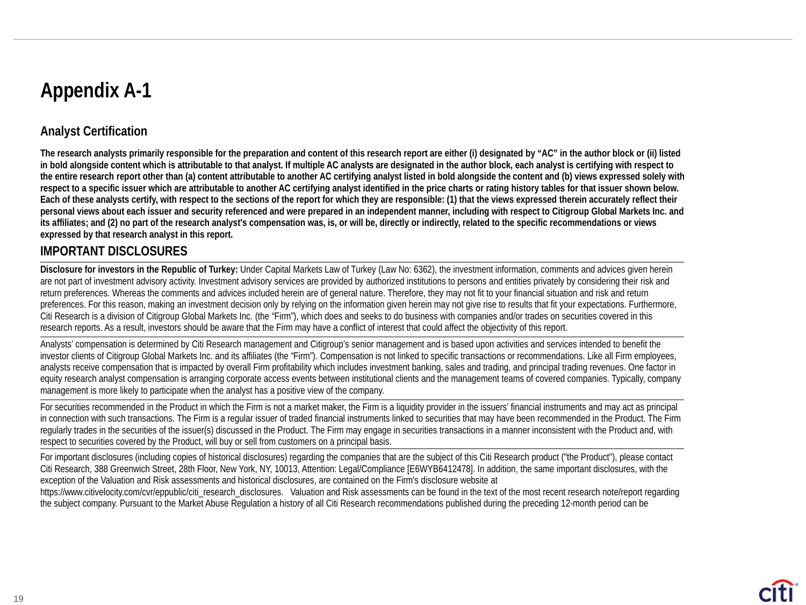#### **Appendix A-1**

#### **Analyst Certification**

**The research analysts primarily responsible for the preparation and content of this research report are either (i) designated by "AC" in the author block or (ii) listed in bold alongside content which is attributable to that analyst. If multiple AC analysts are designated in the author block, each analyst is certifying with respect to the entire research report other than (a) content attributable to another AC certifying analyst listed in bold alongside the content and (b) views expressed solely with respect to a specific issuer which are attributable to another AC certifying analyst identified in the price charts or rating history tables for that issuer shown below. Each of these analysts certify, with respect to the sections of the report for which they are responsible: (1) that the views expressed therein accurately reflect their personal views about each issuer and security referenced and were prepared in an independent manner, including with respect to Citigroup Global Markets Inc. and its affiliates; and (2) no part of the research analyst's compensation was, is, or will be, directly or indirectly, related to the specific recommendations or views expressed by that research analyst in this report.**

#### **IMPORTANT DISCLOSURES**

**Disclosure for investors in the Republic of Turkey:** Under Capital Markets Law of Turkey (Law No: 6362), the investment information, comments and advices given herein are not part of investment advisory activity. Investment advisory services are provided by authorized institutions to persons and entities privately by considering their risk and return preferences. Whereas the comments and advices included herein are of general nature. Therefore, they may not fit to your financial situation and risk and return preferences. For this reason, making an investment decision only by relying on the information given herein may not give rise to results that fit your expectations. Furthermore, Citi Research is a division of Citigroup Global Markets Inc. (the "Firm"), which does and seeks to do business with companies and/or trades on securities covered in this research reports. As a result, investors should be aware that the Firm may have a conflict of interest that could affect the objectivity of this report.

Analysts' compensation is determined by Citi Research management and Citigroup's senior management and is based upon activities and services intended to benefit the investor clients of Citigroup Global Markets Inc. and its affiliates (the "Firm"). Compensation is not linked to specific transactions or recommendations. Like all Firm employees, analysts receive compensation that is impacted by overall Firm profitability which includes investment banking, sales and trading, and principal trading revenues. One factor in equity research analyst compensation is arranging corporate access events between institutional clients and the management teams of covered companies. Typically, company management is more likely to participate when the analyst has a positive view of the company.

For securities recommended in the Product in which the Firm is not a market maker, the Firm is a liquidity provider in the issuers' financial instruments and may act as principal in connection with such transactions. The Firm is a regular issuer of traded financial instruments linked to securities that may have been recommended in the Product. The Firm regularly trades in the securities of the issuer(s) discussed in the Product. The Firm may engage in securities transactions in a manner inconsistent with the Product and, with respect to securities covered by the Product, will buy or sell from customers on a principal basis.

For important disclosures (including copies of historical disclosures) regarding the companies that are the subject of this Citi Research product ("the Product"), please contact Citi Research, 388 Greenwich Street, 28th Floor, New York, NY, 10013, Attention: Legal/Compliance [E6WYB6412478]. In addition, the same important disclosures, with the exception of the Valuation and Risk assessments and historical disclosures, are contained on the Firm's disclosure website at https://www.citivelocity.com/cvr/eppublic/citi\_research\_disclosures. Valuation and Risk assessments can be found in the text of the most recent research note/report regarding the subject company. Pursuant to the Market Abuse Regulation a history of all Citi Research recommendations published during the preceding 12-month period can be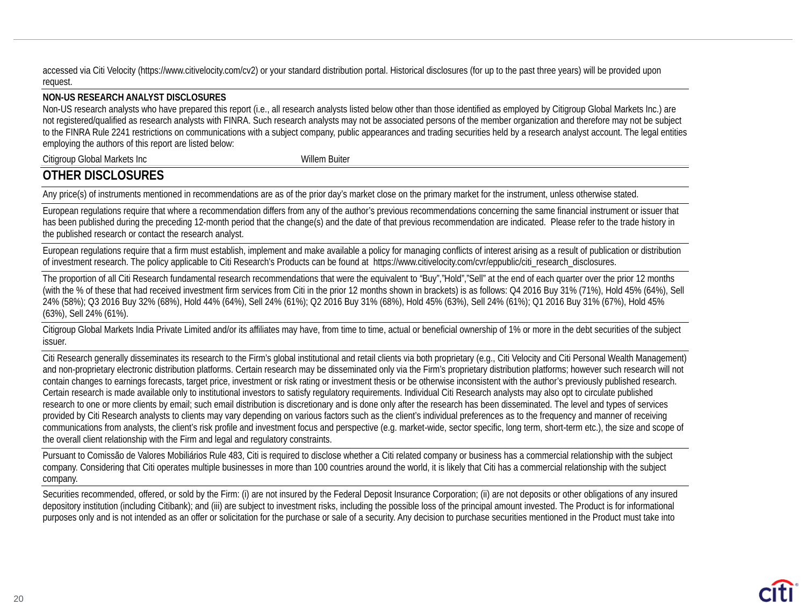accessed via Citi Velocity (https://www.citivelocity.com/cv2) or your standard distribution portal. Historical disclosures (for up to the past three years) will be provided upon request.

#### **NON-US RESEARCH ANALYST DISCLOSURES**

Non-US research analysts who have prepared this report (i.e., all research analysts listed below other than those identified as employed by Citigroup Global Markets Inc.) are not registered/qualified as research analysts with FINRA. Such research analysts may not be associated persons of the member organization and therefore may not be subject to the FINRA Rule 2241 restrictions on communications with a subject company, public appearances and trading securities held by a research analyst account. The legal entities employing the authors of this report are listed below:

Citigroup Global Markets Inc Willem Buiter

#### **OTHER DISCLOSURES**

Any price(s) of instruments mentioned in recommendations are as of the prior day's market close on the primary market for the instrument, unless otherwise stated.

European regulations require that where a recommendation differs from any of the author's previous recommendations concerning the same financial instrument or issuer that has been published during the preceding 12-month period that the change(s) and the date of that previous recommendation are indicated. Please refer to the trade history in the published research or contact the research analyst.

European regulations require that a firm must establish, implement and make available a policy for managing conflicts of interest arising as a result of publication or distribution of investment research. The policy applicable to Citi Research's Products can be found at https://www.citivelocity.com/cvr/eppublic/citi\_research\_disclosures.

The proportion of all Citi Research fundamental research recommendations that were the equivalent to "Buy","Hold","Sell" at the end of each quarter over the prior 12 months (with the % of these that had received investment firm services from Citi in the prior 12 months shown in brackets) is as follows: Q4 2016 Buy 31% (71%), Hold 45% (64%), Sell 24% (58%); Q3 2016 Buy 32% (68%), Hold 44% (64%), Sell 24% (61%); Q2 2016 Buy 31% (68%), Hold 45% (63%), Sell 24% (61%); Q1 2016 Buy 31% (67%), Hold 45% (63%), Sell 24% (61%).

Citigroup Global Markets India Private Limited and/or its affiliates may have, from time to time, actual or beneficial ownership of 1% or more in the debt securities of the subject issuer.

Citi Research generally disseminates its research to the Firm's global institutional and retail clients via both proprietary (e.g., Citi Velocity and Citi Personal Wealth Management) and non-proprietary electronic distribution platforms. Certain research may be disseminated only via the Firm's proprietary distribution platforms; however such research will not contain changes to earnings forecasts, target price, investment or risk rating or investment thesis or be otherwise inconsistent with the author's previously published research. Certain research is made available only to institutional investors to satisfy regulatory requirements. Individual Citi Research analysts may also opt to circulate published research to one or more clients by email; such email distribution is discretionary and is done only after the research has been disseminated. The level and types of services provided by Citi Research analysts to clients may vary depending on various factors such as the client's individual preferences as to the frequency and manner of receiving communications from analysts, the client's risk profile and investment focus and perspective (e.g. market-wide, sector specific, long term, short-term etc.), the size and scope of the overall client relationship with the Firm and legal and regulatory constraints.

Pursuant to Comissão de Valores Mobiliários Rule 483, Citi is required to disclose whether a Citi related company or business has a commercial relationship with the subject company. Considering that Citi operates multiple businesses in more than 100 countries around the world, it is likely that Citi has a commercial relationship with the subject company.

Securities recommended, offered, or sold by the Firm: (i) are not insured by the Federal Deposit Insurance Corporation; (ii) are not deposits or other obligations of any insured depository institution (including Citibank); and (iii) are subject to investment risks, including the possible loss of the principal amount invested. The Product is for informational purposes only and is not intended as an offer or solicitation for the purchase or sale of a security. Any decision to purchase securities mentioned in the Product must take into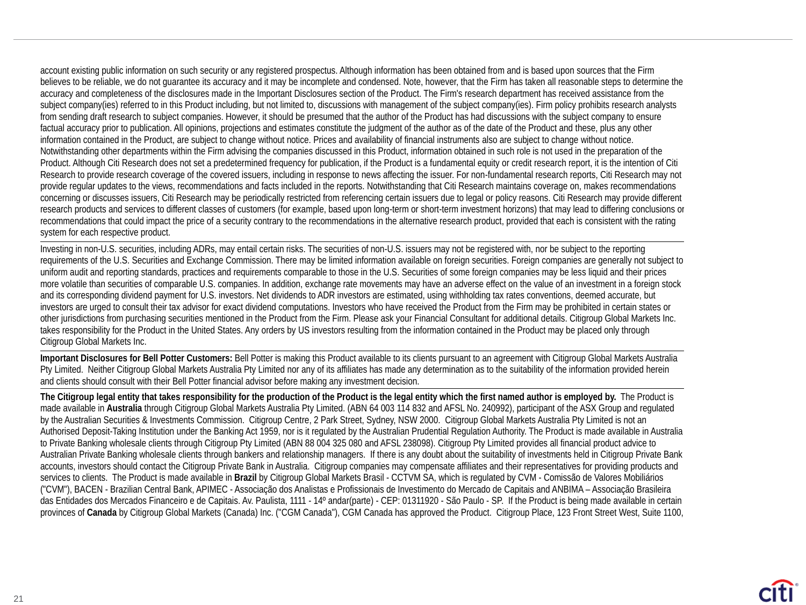account existing public information on such security or any registered prospectus. Although information has been obtained from and is based upon sources that the Firm believes to be reliable, we do not quarantee its accuracy and it may be incomplete and condensed. Note, however, that the Firm has taken all reasonable steps to determine the accuracy and completeness of the disclosures made in the Important Disclosures section of the Product. The Firm's research department has received assistance from the subject company(ies) referred to in this Product including, but not limited to, discussions with management of the subject company(ies). Firm policy prohibits research analysts from sending draft research to subject companies. However, it should be presumed that the author of the Product has had discussions with the subject company to ensure factual accuracy prior to publication. All opinions, projections and estimates constitute the judgment of the author as of the date of the Product and these, plus any other information contained in the Product, are subject to change without notice. Prices and availability of financial instruments also are subject to change without notice. Notwithstanding other departments within the Firm advising the companies discussed in this Product, information obtained in such role is not used in the preparation of the Product. Although Citi Research does not set a predetermined frequency for publication, if the Product is a fundamental equity or credit research report, it is the intention of Citi Research to provide research coverage of the covered issuers, including in response to news affecting the issuer. For non-fundamental research reports, Citi Research may not provide regular updates to the views, recommendations and facts included in the reports. Notwithstanding that Citi Research maintains coverage on, makes recommendations concerning or discusses issuers, Citi Research may be periodically restricted from referencing certain issuers due to legal or policy reasons. Citi Research may provide different research products and services to different classes of customers (for example, based upon long-term or short-term investment horizons) that may lead to differing conclusions or recommendations that could impact the price of a security contrary to the recommendations in the alternative research product, provided that each is consistent with the rating system for each respective product.

Investing in non-U.S. securities, including ADRs, may entail certain risks. The securities of non-U.S. issuers may not be registered with, nor be subject to the reporting requirements of the U.S. Securities and Exchange Commission. There may be limited information available on foreign securities. Foreign companies are generally not subject to uniform audit and reporting standards, practices and requirements comparable to those in the U.S. Securities of some foreign companies may be less liquid and their prices more volatile than securities of comparable U.S. companies. In addition, exchange rate movements may have an adverse effect on the value of an investment in a foreign stock and its corresponding dividend payment for U.S. investors. Net dividends to ADR investors are estimated, using withholding tax rates conventions, deemed accurate, but investors are urged to consult their tax advisor for exact dividend computations. Investors who have received the Product from the Firm may be prohibited in certain states or other jurisdictions from purchasing securities mentioned in the Product from the Firm. Please ask your Financial Consultant for additional details. Citigroup Global Markets Inc. takes responsibility for the Product in the United States. Any orders by US investors resulting from the information contained in the Product may be placed only through Citigroup Global Markets Inc.

**Important Disclosures for Bell Potter Customers:** Bell Potter is making this Product available to its clients pursuant to an agreement with Citigroup Global Markets Australia Pty Limited. Neither Citigroup Global Markets Australia Pty Limited nor any of its affiliates has made any determination as to the suitability of the information provided herein and clients should consult with their Bell Potter financial advisor before making any investment decision.

**The Citigroup legal entity that takes responsibility for the production of the Product is the legal entity which the first named author is employed by.** The Product is made available in **Australia** through Citigroup Global Markets Australia Pty Limited. (ABN 64 003 114 832 and AFSL No. 240992), participant of the ASX Group and regulated by the Australian Securities & Investments Commission. Citigroup Centre, 2 Park Street, Sydney, NSW 2000. Citigroup Global Markets Australia Pty Limited is not an Authorised Deposit-Taking Institution under the Banking Act 1959, nor is it regulated by the Australian Prudential Regulation Authority. The Product is made available in Australia to Private Banking wholesale clients through Citigroup Pty Limited (ABN 88 004 325 080 and AFSL 238098). Citigroup Pty Limited provides all financial product advice to Australian Private Banking wholesale clients through bankers and relationship managers. If there is any doubt about the suitability of investments held in Citigroup Private Bank accounts, investors should contact the Citigroup Private Bank in Australia. Citigroup companies may compensate affiliates and their representatives for providing products and services to clients. The Product is made available in **Brazil** by Citigroup Global Markets Brasil - CCTVM SA, which is regulated by CVM - Comissão de Valores Mobiliários ("CVM"), BACEN - Brazilian Central Bank, APIMEC - Associação dos Analistas e Profissionais de Investimento do Mercado de Capitais and ANBIMA – Associação Brasileira das Entidades dos Mercados Financeiro e de Capitais. Av. Paulista, 1111 - 14º andar(parte) - CEP: 01311920 - São Paulo - SP. If the Product is being made available in certain provinces of Canada by Citigroup Global Markets (Canada) Inc. ("CGM Canada"), CGM Canada has approved the Product. Citigroup Place, 123 Front Street West, Suite 1100,

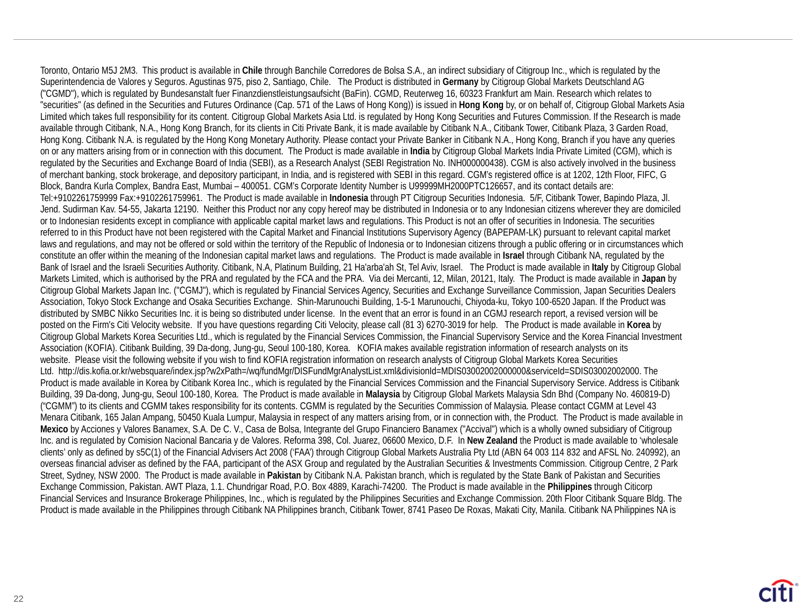Toronto, Ontario M5J 2M3. This product is available in **Chile** through Banchile Corredores de Bolsa S.A., an indirect subsidiary of Citigroup Inc., which is regulated by the Superintendencia de Valores y Seguros. Agustinas 975, piso 2, Santiago, Chile. The Product is distributed in **Germany** by Citigroup Global Markets Deutschland AG ("CGMD"), which is regulated by Bundesanstalt fuer Finanzdienstleistungsaufsicht (BaFin). CGMD, Reuterweg 16, 60323 Frankfurt am Main. Research which relates to "securities" (as defined in the Securities and Futures Ordinance (Cap. 571 of the Laws of Hong Kong)) is issued in **Hong Kong** by, or on behalf of, Citigroup Global Markets Asia Limited which takes full responsibility for its content. Citigroup Global Markets Asia Ltd. is regulated by Hong Kong Securities and Futures Commission. If the Research is made available through Citibank, N.A., Hong Kong Branch, for its clients in Citi Private Bank, it is made available by Citibank N.A., Citibank Tower, Citibank Plaza, 3 Garden Road, Hong Kong. Citibank N.A. is regulated by the Hong Kong Monetary Authority. Please contact your Private Banker in Citibank N.A., Hong Kong, Branch if you have any queries on or any matters arising from or in connection with this document. The Product is made available in **India** by Citigroup Global Markets India Private Limited (CGM), which is regulated by the Securities and Exchange Board of India (SEBI), as a Research Analyst (SEBI Registration No. INH000000438). CGM is also actively involved in the business of merchant banking, stock brokerage, and depository participant, in India, and is registered with SEBI in this regard. CGM's registered office is at 1202, 12th Floor, FIFC, G Block, Bandra Kurla Complex, Bandra East, Mumbai – 400051. CGM's Corporate Identity Number is U99999MH2000PTC126657, and its contact details are: Tel:+9102261759999 Fax:+9102261759961. The Product is made available in **Indonesia** through PT Citigroup Securities Indonesia. 5/F, Citibank Tower, Bapindo Plaza, Jl. Jend. Sudirman Kav. 54-55, Jakarta 12190. Neither this Product nor any copy hereof may be distributed in Indonesia or to any Indonesian citizens wherever they are domiciled or to Indonesian residents except in compliance with applicable capital market laws and regulations. This Product is not an offer of securities in Indonesia. The securities referred to in this Product have not been registered with the Capital Market and Financial Institutions Supervisory Agency (BAPEPAM-LK) pursuant to relevant capital market laws and regulations, and may not be offered or sold within the territory of the Republic of Indonesia or to Indonesian citizens through a public offering or in circumstances which constitute an offer within the meaning of the Indonesian capital market laws and regulations. The Product is made available in **Israel** through Citibank NA, regulated by the Bank of Israel and the Israeli Securities Authority. Citibank, N.A, Platinum Building, 21 Ha'arba'ah St, Tel Aviv, Israel. The Product is made available in **Italy** by Citigroup Global Markets Limited, which is authorised by the PRA and regulated by the FCA and the PRA. Via dei Mercanti, 12, Milan, 20121, Italy. The Product is made available in **Japan** by Citigroup Global Markets Japan Inc. ("CGMJ"), which is regulated by Financial Services Agency, Securities and Exchange Surveillance Commission, Japan Securities Dealers Association, Tokyo Stock Exchange and Osaka Securities Exchange. Shin-Marunouchi Building, 1-5-1 Marunouchi, Chiyoda-ku, Tokyo 100-6520 Japan. If the Product was distributed by SMBC Nikko Securities Inc. it is being so distributed under license. In the event that an error is found in an CGMJ research report, a revised version will be posted on the Firm's Citi Velocity website. If you have questions regarding Citi Velocity, please call (81 3) 6270-3019 for help. The Product is made available in **Korea** by Citigroup Global Markets Korea Securities Ltd., which is regulated by the Financial Services Commission, the Financial Supervisory Service and the Korea Financial Investment Association (KOFIA). Citibank Building, 39 Da-dong, Jung-gu, Seoul 100-180, Korea. KOFIA makes available registration information of research analysts on its website. Please visit the following website if you wish to find KOFIA registration information on research analysts of Citigroup Global Markets Korea Securities Ltd. http://dis.kofia.or.kr/websquare/index.jsp?w2xPath=/wq/fundMgr/DISFundMgrAnalystList.xml&divisionId=MDIS03002002000000&serviceId=SDIS03002002000. The Product is made available in Korea by Citibank Korea Inc., which is regulated by the Financial Services Commission and the Financial Supervisory Service. Address is Citibank Building, 39 Da-dong, Jung-gu, Seoul 100-180, Korea. The Product is made available in **Malaysia** by Citigroup Global Markets Malaysia Sdn Bhd (Company No. 460819-D) ("CGMM") to its clients and CGMM takes responsibility for its contents. CGMM is regulated by the Securities Commission of Malaysia. Please contact CGMM at Level 43 Menara Citibank, 165 Jalan Ampang, 50450 Kuala Lumpur, Malaysia in respect of any matters arising from, or in connection with, the Product. The Product is made available in **Mexico** by Acciones y Valores Banamex, S.A. De C. V., Casa de Bolsa, Integrante del Grupo Financiero Banamex ("Accival") which is a wholly owned subsidiary of Citigroup Inc. and is regulated by Comision Nacional Bancaria y de Valores. Reforma 398, Col. Juarez, 06600 Mexico, D.F. In **New Zealand** the Product is made available to 'wholesale clients' only as defined by s5C(1) of the Financial Advisers Act 2008 ('FAA') through Citigroup Global Markets Australia Pty Ltd (ABN 64 003 114 832 and AFSL No. 240992), an overseas financial adviser as defined by the FAA, participant of the ASX Group and regulated by the Australian Securities & Investments Commission. Citigroup Centre, 2 Park Street, Sydney, NSW 2000. The Product is made available in **Pakistan** by Citibank N.A. Pakistan branch, which is regulated by the State Bank of Pakistan and Securities Exchange Commission, Pakistan. AWT Plaza, 1.1. Chundrigar Road, P.O. Box 4889, Karachi-74200. The Product is made available in the **Philippines** through Citicorp Financial Services and Insurance Brokerage Philippines, Inc., which is regulated by the Philippines Securities and Exchange Commission. 20th Floor Citibank Square Bldg. The Product is made available in the Philippines through Citibank NA Philippines branch, Citibank Tower, 8741 Paseo De Roxas, Makati City, Manila. Citibank NA Philippines NA is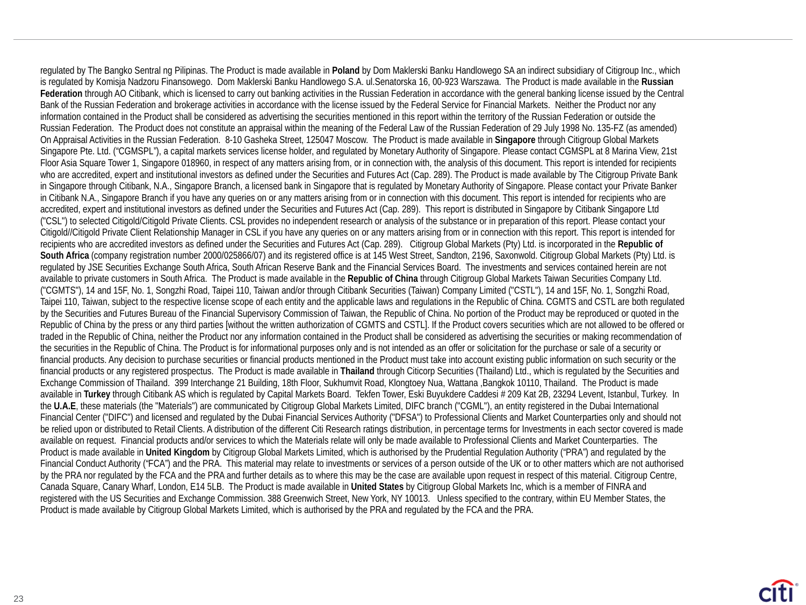regulated by The Bangko Sentral ng Pilipinas. The Product is made available in **Poland** by Dom Maklerski Banku Handlowego SA an indirect subsidiary of Citigroup Inc., which is regulated by Komisja Nadzoru Finansowego. Dom Maklerski Banku Handlowego S.A. ul.Senatorska 16, 00-923 Warszawa. The Product is made available in the **Russian Federation** through AO Citibank, which is licensed to carry out banking activities in the Russian Federation in accordance with the general banking license issued by the Central Bank of the Russian Federation and brokerage activities in accordance with the license issued by the Federal Service for Financial Markets. Neither the Product nor any information contained in the Product shall be considered as advertising the securities mentioned in this report within the territory of the Russian Federation or outside the Russian Federation. The Product does not constitute an appraisal within the meaning of the Federal Law of the Russian Federation of 29 July 1998 No. 135-FZ (as amended) On Appraisal Activities in the Russian Federation. 8-10 Gasheka Street, 125047 Moscow. The Product is made available in **Singapore** through Citigroup Global Markets Singapore Pte. Ltd. ("CGMSPL"), a capital markets services license holder, and regulated by Monetary Authority of Singapore. Please contact CGMSPL at 8 Marina View, 21st Floor Asia Square Tower 1, Singapore 018960, in respect of any matters arising from, or in connection with, the analysis of this document. This report is intended for recipients who are accredited, expert and institutional investors as defined under the Securities and Futures Act (Cap. 289). The Product is made available by The Citigroup Private Bank in Singapore through Citibank, N.A., Singapore Branch, a licensed bank in Singapore that is regulated by Monetary Authority of Singapore. Please contact your Private Banker in Citibank N.A., Singapore Branch if you have any queries on or any matters arising from or in connection with this document. This report is intended for recipients who are accredited, expert and institutional investors as defined under the Securities and Futures Act (Cap. 289). This report is distributed in Singapore by Citibank Singapore Ltd ("CSL") to selected Citigold/Citigold Private Clients. CSL provides no independent research or analysis of the substance or in preparation of this report. Please contact your Citigold//Citigold Private Client Relationship Manager in CSL if you have any queries on or any matters arising from or in connection with this report. This report is intended for recipients who are accredited investors as defined under the Securities and Futures Act (Cap. 289). Citigroup Global Markets (Pty) Ltd. is incorporated in the **Republic of South Africa** (company registration number 2000/025866/07) and its registered office is at 145 West Street, Sandton, 2196, Saxonwold. Citigroup Global Markets (Pty) Ltd. is regulated by JSE Securities Exchange South Africa, South African Reserve Bank and the Financial Services Board. The investments and services contained herein are not available to private customers in South Africa. The Product is made available in the **Republic of China** through Citigroup Global Markets Taiwan Securities Company Ltd. ("CGMTS"), 14 and 15F, No. 1, Songzhi Road, Taipei 110, Taiwan and/or through Citibank Securities (Taiwan) Company Limited ("CSTL"), 14 and 15F, No. 1, Songzhi Road, Taipei 110, Taiwan, subject to the respective license scope of each entity and the applicable laws and regulations in the Republic of China. CGMTS and CSTL are both regulated by the Securities and Futures Bureau of the Financial Supervisory Commission of Taiwan, the Republic of China. No portion of the Product may be reproduced or quoted in the Republic of China by the press or any third parties [without the written authorization of CGMTS and CSTL]. If the Product covers securities which are not allowed to be offered or traded in the Republic of China, neither the Product nor any information contained in the Product shall be considered as advertising the securities or making recommendation of the securities in the Republic of China. The Product is for informational purposes only and is not intended as an offer or solicitation for the purchase or sale of a security or financial products. Any decision to purchase securities or financial products mentioned in the Product must take into account existing public information on such security or the financial products or any registered prospectus. The Product is made available in **Thailand** through Citicorp Securities (Thailand) Ltd., which is regulated by the Securities and Exchange Commission of Thailand. 399 Interchange 21 Building, 18th Floor, Sukhumvit Road, Klongtoey Nua, Wattana ,Bangkok 10110, Thailand. The Product is made available in **Turkey** through Citibank AS which is regulated by Capital Markets Board. Tekfen Tower, Eski Buyukdere Caddesi # 209 Kat 2B, 23294 Levent, Istanbul, Turkey. In the **U.A.E**, these materials (the "Materials") are communicated by Citigroup Global Markets Limited, DIFC branch ("CGML"), an entity registered in the Dubai International Financial Center ("DIFC") and licensed and regulated by the Dubai Financial Services Authority ("DFSA") to Professional Clients and Market Counterparties only and should not be relied upon or distributed to Retail Clients. A distribution of the different Citi Research ratings distribution, in percentage terms for Investments in each sector covered is made available on request. Financial products and/or services to which the Materials relate will only be made available to Professional Clients and Market Counterparties. The Product is made available in **United Kingdom** by Citigroup Global Markets Limited, which is authorised by the Prudential Regulation Authority ("PRA") and regulated by the Financial Conduct Authority ("FCA") and the PRA. This material may relate to investments or services of a person outside of the UK or to other matters which are not authorised by the PRA nor regulated by the FCA and the PRA and further details as to where this may be the case are available upon request in respect of this material. Citigroup Centre, Canada Square, Canary Wharf, London, E14 5LB. The Product is made available in **United States** by Citigroup Global Markets Inc, which is a member of FINRA and registered with the US Securities and Exchange Commission. 388 Greenwich Street, New York, NY 10013. Unless specified to the contrary, within EU Member States, the Product is made available by Citigroup Global Markets Limited, which is authorised by the PRA and regulated by the FCA and the PRA.